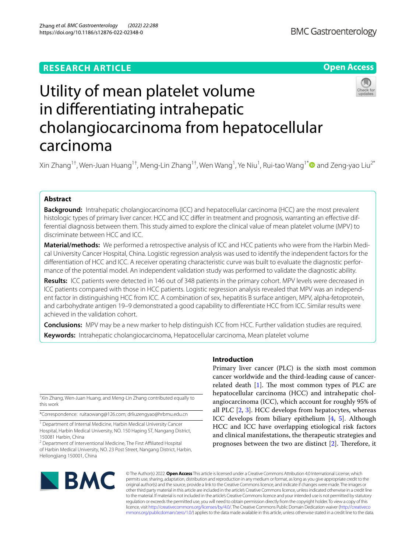# **Open Access**



# Utility of mean platelet volume in diferentiating intrahepatic cholangiocarcinoma from hepatocellular carcinoma

Xin Zhang<sup>1†</sup>, Wen-Juan Huang<sup>1†</sup>, Meng-Lin Zhang<sup>1†</sup>, Wen Wang<sup>1</sup>, Ye Niu<sup>1</sup>, Rui-tao Wang<sup>1\*</sup>© and Zeng-yao Liu<sup>2\*</sup>

# **Abstract**

**Background:** Intrahepatic cholangiocarcinoma (ICC) and hepatocellular carcinoma (HCC) are the most prevalent histologic types of primary liver cancer. HCC and ICC differ in treatment and prognosis, warranting an effective differential diagnosis between them. This study aimed to explore the clinical value of mean platelet volume (MPV) to discriminate between HCC and ICC.

**Material/methods:** We performed a retrospective analysis of ICC and HCC patients who were from the Harbin Medi‑ cal University Cancer Hospital, China. Logistic regression analysis was used to identify the independent factors for the differentiation of HCC and ICC. A receiver operating characteristic curve was built to evaluate the diagnostic performance of the potential model. An independent validation study was performed to validate the diagnostic ability.

**Results:** ICC patients were detected in 146 out of 348 patients in the primary cohort. MPV levels were decreased in ICC patients compared with those in HCC patients. Logistic regression analysis revealed that MPV was an independent factor in distinguishing HCC from ICC. A combination of sex, hepatitis B surface antigen, MPV, alpha-fetoprotein, and carbohydrate antigen 19–9 demonstrated a good capability to diferentiate HCC from ICC. Similar results were achieved in the validation cohort.

**Conclusions:** MPV may be a new marker to help distinguish ICC from HCC. Further validation studies are required. **Keywords:** Intrahepatic cholangiocarcinoma, Hepatocellular carcinoma, Mean platelet volume

† Xin Zhang, Wen-Juan Huang, and Meng-Lin Zhang contributed equally to this work

\*Correspondence: ruitaowang@126.com; drliuzengyao@hrbmu.edu.cn

<sup>1</sup> Department of Internal Medicine, Harbin Medical University Cancer Hospital, Harbin Medical University, NO. 150 Haping ST, Nangang District, 150081 Harbin, China

<sup>2</sup> Department of Interventional Medicine, The First Affiliated Hospital of Harbin Medical University, NO. 23 Post Street, Nangang District, Harbin, Heilongjiang 150001, China

# **Introduction**

Primary liver cancer (PLC) is the sixth most common cancer worldwide and the third-leading cause of cancerrelated death  $[1]$ . The most common types of PLC are hepatocellular carcinoma (HCC) and intrahepatic cholangiocarcinoma (ICC), which account for roughly 95% of all PLC [\[2](#page-6-1), [3](#page-6-2)]. HCC develops from hepatocytes, whereas ICC develops from biliary epithelium [\[4](#page-6-3), [5\]](#page-6-4). Although HCC and ICC have overlapping etiological risk factors and clinical manifestations, the therapeutic strategies and prognoses between the two are distinct  $[2]$  $[2]$ . Therefore, it



© The Author(s) 2022. **Open Access** This article is licensed under a Creative Commons Attribution 4.0 International License, which permits use, sharing, adaptation, distribution and reproduction in any medium or format, as long as you give appropriate credit to the original author(s) and the source, provide a link to the Creative Commons licence, and indicate if changes were made. The images or other third party material in this article are included in the article's Creative Commons licence, unless indicated otherwise in a credit line to the material. If material is not included in the article's Creative Commons licence and your intended use is not permitted by statutory regulation or exceeds the permitted use, you will need to obtain permission directly from the copyright holder. To view a copy of this licence, visit [http://creativecommons.org/licenses/by/4.0/.](http://creativecommons.org/licenses/by/4.0/) The Creative Commons Public Domain Dedication waiver ([http://creativeco](http://creativecommons.org/publicdomain/zero/1.0/) [mmons.org/publicdomain/zero/1.0/](http://creativecommons.org/publicdomain/zero/1.0/)) applies to the data made available in this article, unless otherwise stated in a credit line to the data.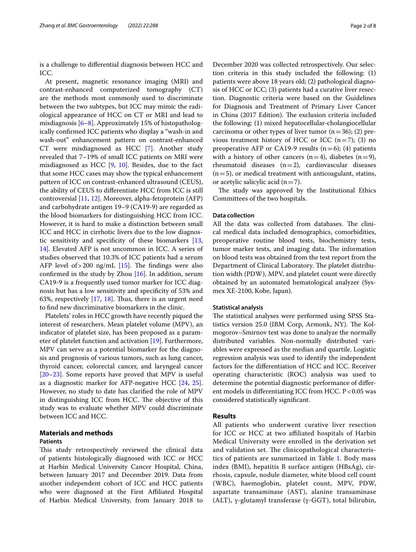is a challenge to diferential diagnosis between HCC and ICC.

At present, magnetic resonance imaging (MRI) and contrast-enhanced computerized tomography (CT) are the methods most commonly used to discriminate between the two subtypes, but ICC may mimic the radiological appearance of HCC on CT or MRI and lead to misdiagnosis [\[6](#page-6-5)–[8\]](#page-6-6). Approximately 15% of histopathologically confrmed ICC patients who display a "wash-in and wash-out" enhancement pattern on contrast-enhanced CT were misdiagnosed as HCC [[7\]](#page-6-7). Another study revealed that 7–19% of small ICC patients on MRI were misdiagnosed as HCC [\[9](#page-6-8), [10](#page-6-9)]. Besides, due to the fact that some HCC cases may show the typical enhancement pattern of ICC on contrast-enhanced ultrasound (CEUS), the ability of CEUS to diferentiate HCC from ICC is still controversial [[11](#page-6-10), [12](#page-6-11)]. Moreover, alpha-fetoprotein (AFP) and carbohydrate antigen 19–9 (CA19-9) are regarded as the blood biomarkers for distinguishing HCC from ICC. However, it is hard to make a distinction between small ICC and HCC in cirrhotic livers due to the low diagnostic sensitivity and specifcity of these biomarkers [\[13](#page-7-0), [14\]](#page-7-1). Elevated AFP is not uncommon in ICC. A series of studies observed that 10.3% of ICC patients had a serum AFP level of  $>$  200 ng/mL [[15\]](#page-7-2). The findings were also confirmed in the study by Zhou  $[16]$  $[16]$ . In addition, serum CA19-9 is a frequently used tumor marker for ICC diagnosis but has a low sensitivity and specifcity of 53% and 63%, respectively  $[17, 18]$  $[17, 18]$  $[17, 18]$  $[17, 18]$ . Thus, there is an urgent need to fnd new discriminative biomarkers in the clinic.

Platelets' roles in HCC growth have recently piqued the interest of researchers. Mean platelet volume (MPV), an indicator of platelet size, has been proposed as a parameter of platelet function and activation [\[19](#page-7-6)]. Furthermore, MPV can serve as a potential biomarker for the diagnosis and prognosis of various tumors, such as lung cancer, thyroid cancer, colorectal cancer, and laryngeal cancer [[20–](#page-7-7)[23](#page-7-8)]. Some reports have proved that MPV is useful as a diagnostic marker for AFP-negative HCC [\[24](#page-7-9), [25](#page-7-10)]. However, no study to date has clarifed the role of MPV in distinguishing ICC from HCC. The objective of this study was to evaluate whether MPV could discriminate between ICC and HCC.

# <span id="page-1-0"></span>**Materials and methods Patients**

This study retrospectively reviewed the clinical data of patients histologically diagnosed with ICC or HCC at Harbin Medical University Cancer Hospital, China, between January 2017 and December 2019. Data from another independent cohort of ICC and HCC patients who were diagnosed at the First Affiliated Hospital of Harbin Medical University, from January 2018 to December 2020 was collected retrospectively. Our selection criteria in this study included the following: (1) patients were above 18 years old; (2) pathological diagnosis of HCC or ICC; (3) patients had a curative liver resection. Diagnostic criteria were based on the Guidelines for Diagnosis and Treatment of Primary Liver Cancer in China (2017 Edition). The exclusion criteria included the following: (1) mixed hepatocellular-cholangiocellular carcinoma or other types of liver tumor  $(n=36)$ ; (2) previous treatment history of HCC or ICC  $(n=7)$ ; (3) no preoperative AFP or CA19-9 results  $(n=6)$ ; (4) patients with a history of other cancers  $(n=4)$ , diabetes  $(n=9)$ , rheumatoid diseases  $(n=2)$ , cardiovascular diseases  $(n=5)$ , or medical treatment with anticoagulant, statins, or acetylic salicylic acid  $(n=7)$ .

The study was approved by the Institutional Ethics Committees of the two hospitals.

## **Data collection**

All the data was collected from databases. The clinical medical data included demographics, comorbidities, preoperative routine blood tests, biochemistry tests, tumor marker tests, and imaging data. The information on blood tests was obtained from the test report from the Department of Clinical Laboratory. The platelet distribution width (PDW), MPV, and platelet count were directly obtained by an automated hematological analyzer (Sysmex XE-2100, Kobe, Japan).

## **Statistical analysis**

The statistical analyses were performed using SPSS Statistics version 25.0 (IBM Corp, Armonk, NY). The Kolmogorov–Smirnov test was done to analyze the normally distributed variables. Non-normally distributed variables were expressed as the median and quartile. Logistic regression analysis was used to identify the independent factors for the diferentiation of HCC and ICC. Receiver operating characteristic (ROC) analysis was used to determine the potential diagnostic performance of diferent models in differentiating ICC from HCC. P<0.05 was considered statistically signifcant.

# **Results**

All patients who underwent curative liver resection for ICC or HCC at two affiliated hospitals of Harbin Medical University were enrolled in the derivation set and validation set. The clinicopathological characteristics of patients are summarized in Table [1.](#page-2-0) Body mass index (BMI), hepatitis B surface antigen (HBsAg), cirrhosis, capsule, nodule diameter, white blood cell count (WBC), haemoglobin, platelet count, MPV, PDW, aspartate transaminase (AST), alanine transaminase (ALT), γ-glutamyl transferase (γ-GGT), total bilirubin,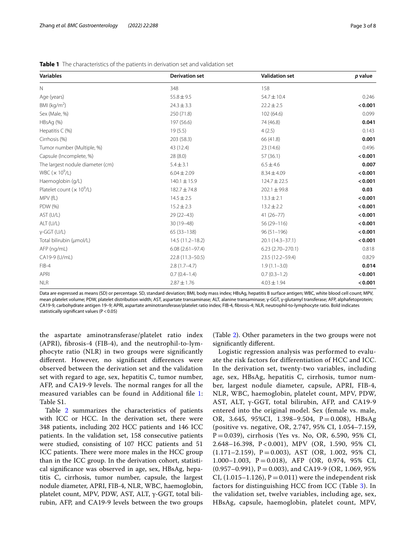| <b>Variables</b>                 | <b>Derivation set</b> | <b>Validation set</b> | p value |
|----------------------------------|-----------------------|-----------------------|---------|
| $\mathbb N$                      | 348                   | 158                   |         |
| Age (years)                      | $55.8 \pm 9.5$        | $54.7 \pm 10.4$       | 0.246   |
| BMI ( $kg/m2$ )                  | $24.3 \pm 3.3$        | $22.2 \pm 2.5$        | < 0.001 |
| Sex (Male, %)                    | 250 (71.8)            | 102 (64.6)            | 0.099   |
| HBsAg (%)                        | 197 (56.6)            | 74 (46.8)             | 0.041   |
| Hepatitis $C(\%)$                | 19(5.5)               | 4(2.5)                | 0.143   |
| Cirrhosis (%)                    | 203 (58.3)            | 66 (41.8)             | 0.001   |
| Tumor number (Multiple, %)       | 43 (12.4)             | 23 (14.6)             | 0.496   |
| Capsule (Incomplete, %)          | 28(8.0)               | 57(36.1)              | < 0.001 |
| The largest nodule diameter (cm) | $5.4 \pm 3.1$         | $6.5 \pm 4.6$         | 0.007   |
| WBC $(x 10^9/L)$                 | $6.04 \pm 2.09$       | $8.34 \pm 4.09$       | < 0.001 |
| Haemoglobin (g/L)                | $140.1 \pm 15.9$      | $124.7 \pm 22.5$      | < 0.001 |
| Platelet count $(x 10^9/L)$      | $182.7 \pm 74.8$      | $202.1 \pm 99.8$      | 0.03    |
| MPV (fL)                         | $14.5 \pm 2.5$        | $13.3 \pm 2.1$        | < 0.001 |
| PDW (%)                          | $15.2 \pm 2.3$        | $13.2 \pm 2.2$        | < 0.001 |
| AST (U/L)                        | $29(22-43)$           | $41(26 - 77)$         | < 0.001 |
| ALT (U/L)                        | $30(19-48)$           | 56 (29-116)           | < 0.001 |
| $y-GGT$ (U/L)                    | $65(33-138)$          | $96(51 - 196)$        | < 0.001 |
| Total bilirubin (µmol/L)         | $14.5(11.2 - 18.2)$   | 20.1 (14.3-37.1)      | < 0.001 |
| AFP (ng/mL)                      | $6.08(2.61 - 97.4)$   | $6.23(2.70-270.1)$    | 0.818   |
| CA19-9 (U/mL)                    | 22.8 (11.3-50.5)      | 23.5 (12.2-59.4)      | 0.829   |
| $FIB-4$                          | $2.8(1.7-4.7)$        | $1.9(1.1 - 3.0)$      | 0.014   |
| <b>APRI</b>                      | $0.7(0.4-1.4)$        | $0.7(0.3-1.2)$        | < 0.001 |
| <b>NLR</b>                       | $2.87 \pm 1.76$       | $4.03 \pm 1.94$       | < 0.001 |

<span id="page-2-0"></span>**Table 1** The characteristics of the patients in derivation set and validation set

Data are expressed as means (SD) or percentage. SD, standard deviation; BMI, body mass index; HBsAg, hepatitis B surface antigen; WBC, white blood cell count; MPV, mean platelet volume; PDW, platelet distribution width; AST, aspartate transaminase; ALT, alanine transaminase; γ-GGT, γ-glutamyl transferase; AFP, alphafetoprotein; CA19-9, carbohydrate antigen 19–9; APRI, aspartate aminotransferase/platelet ratio index; FIB-4, fbrosis-4; NLR, neutrophil-to-lymphocyte ratio. Bold indicates statistically signifcant values (P<0.05)

the aspartate aminotransferase/platelet ratio index (APRI), fbrosis-4 (FIB-4), and the neutrophil-to-lymphocyte ratio (NLR) in two groups were signifcantly diferent. However, no signifcant diferences were observed between the derivation set and the validation set with regard to age, sex, hepatitis C, tumor number, AFP, and CA19-9 levels. The normal ranges for all the measured variables can be found in Additional fle [1](#page-6-12): Table S1.

Table [2](#page-3-0) summarizes the characteristics of patients with ICC or HCC. In the derivation set, there were 348 patients, including 202 HCC patients and 146 ICC patients. In the validation set, 158 consecutive patients were studied, consisting of 107 HCC patients and 51 ICC patients. There were more males in the HCC group than in the ICC group. In the derivation cohort, statistical signifcance was observed in age, sex, HBsAg, hepatitis C, cirrhosis, tumor number, capsule, the largest nodule diameter, APRI, FIB-4, NLR, WBC, haemoglobin, platelet count, MPV, PDW, AST, ALT, γ-GGT, total bilirubin, AFP, and CA19-9 levels between the two groups (Table [2](#page-3-0)). Other parameters in the two groups were not signifcantly diferent.

Logistic regression analysis was performed to evaluate the risk factors for differentiation of HCC and ICC. In the derivation set, twenty-two variables, including age, sex, HBsAg, hepatitis C, cirrhosis, tumor number, largest nodule diameter, capsule, APRI, FIB-4, NLR, WBC, haemoglobin, platelet count, MPV, PDW, AST, ALT, γ-GGT, total bilirubin, AFP, and CA19-9 entered into the original model. Sex (female vs. male, OR, 3.645, 95%CI, 1.398–9.504,  $P = 0.008$ ), HBsAg (positive vs. negative, OR, 2.747, 95% CI, 1.054–7.159,  $P = 0.039$ ), cirrhosis (Yes vs. No, OR, 6.590, 95% CI, 2.648–16.398, P < 0.001), MPV (OR, 1.590, 95% CI,  $(1.171-2.159)$ ,  $P = 0.003$ ), AST  $(OR, 1.002, 95\% \text{ CI},$  $1.000-1.003$ ,  $P = 0.018$ ), AFP (OR, 0.974, 95% CI,  $(0.957-0.991)$ ,  $P = 0.003$ ), and CA19-9 (OR, 1.069, 95%) CI,  $(1.015 - 1.126)$ ,  $P = 0.011$ ) were the independent risk factors for distinguishing HCC from ICC (Table [3\)](#page-4-0). In the validation set, twelve variables, including age, sex, HBsAg, capsule, haemoglobin, platelet count, MPV,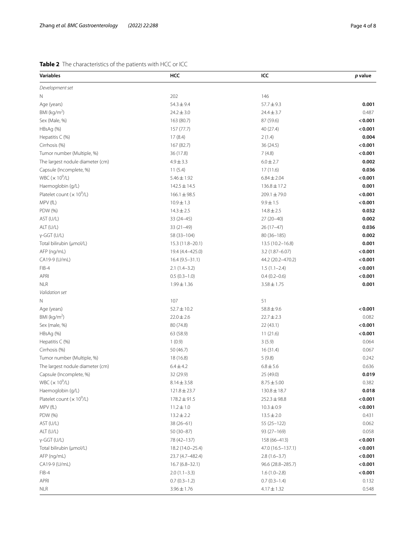# <span id="page-3-0"></span>**Table 2** The characteristics of the patients with HCC or ICC

| Variables                                     | HCC                | ICC                 | p value |
|-----------------------------------------------|--------------------|---------------------|---------|
| Development set                               |                    |                     |         |
| N                                             | 202                | 146                 |         |
| Age (years)                                   | $54.3 \pm 9.4$     | $57.7 \pm 9.3$      | 0.001   |
| BMI ( $kg/m2$ )                               | $24.2 \pm 3.0$     | $24.4 \pm 3.7$      | 0.487   |
| Sex (Male, %)                                 | 163 (80.7)         | 87 (59.6)           | < 0.001 |
| HBsAg (%)                                     | 157 (77.7)         | 40 (27.4)           | < 0.001 |
| Hepatitis $C$ (%)                             | 17(8.4)            | 2(1.4)              | 0.004   |
| Cirrhosis (%)                                 | 167 (82.7)         | 36(24.5)            | < 0.001 |
| Tumor number (Multiple, %)                    | 36 (17.8)          | 7(4.8)              | < 0.001 |
| The largest nodule diameter (cm)              | $4.9 \pm 3.3$      | $6.0 \pm 2.7$       | 0.002   |
| Capsule (Incomplete, %)                       | 11(5.4)            | 17(11.6)            | 0.036   |
| WBC $(x 10^9/L)$                              | $5.46 \pm 1.92$    | $6.84 \pm 2.04$     | < 0.001 |
| Haemoglobin (g/L)                             | $142.5 \pm 14.5$   | $136.8 \pm 17.2$    | 0.001   |
| Platelet count ( $\times$ 10 <sup>9</sup> /L) | $166.1 \pm 98.5$   | $209.1 \pm 79.0$    | < 0.001 |
| MPV (fL)                                      | $10.9 \pm 1.3$     | $9.9 \pm 1.5$       | < 0.001 |
| PDW (%)                                       | $14.3 \pm 2.5$     | $14.8 \pm 2.5$      | 0.032   |
| AST (U/L)                                     | $33(24-45)$        | $27(20-40)$         | 0.002   |
| ALT (U/L)                                     | $33(21-49)$        | $26(17-47)$         | 0.036   |
| $y-GGT$ (U/L)                                 | 58 (33-104)        | 80 (36-185)         | 0.002   |
| Total bilirubin (µmol/L)                      | 15.3 (11.8-20.1)   | $13.5(10.2 - 16.8)$ | 0.001   |
| AFP (ng/mL)                                   | 19.4 (4.4-425.0)   | $3.2(1.87 - 6.07)$  | < 0.001 |
| CA19-9 (U/mL)                                 | $16.4(9.5 - 31.1)$ | 44.2 (20.2-470.2)   | < 0.001 |
| FIB-4                                         | $2.1(1.4-3.2)$     | $1.5(1.1-2.4)$      | < 0.001 |
| APRI                                          | $0.5(0.3-1.0)$     | $0.4(0.2 - 0.6)$    | < 0.001 |
| <b>NLR</b>                                    | $1.99 \pm 1.36$    | $3.58 \pm 1.75$     | 0.001   |
| Validation set                                |                    |                     |         |
| Ν                                             | 107                | 51                  |         |
| Age (years)                                   | $52.7 \pm 10.2$    | $58.8 \pm 9.6$      | < 0.001 |
| BMI ( $kg/m2$ )                               | $22.0 \pm 2.6$     | $22.7 \pm 2.3$      | 0.082   |
| Sex (male, %)                                 | 80 (74.8)          | 22(43.1)            | < 0.001 |
| HBsAg (%)                                     | 63 (58.9)          | 11(21.6)            | < 0.001 |
| Hepatitis $C$ (%)                             | 1(0.9)             | 3(5.9)              | 0.064   |
| Cirrhosis (%)                                 | 50 (46.7)          | 16 (31.4)           | 0.067   |
| Tumor number (Multiple, %)                    | 18 (16.8)          | 5(9.8)              | 0.242   |
| The largest nodule diameter (cm)              | $6.4 \pm 4.2$      | $6.8 \pm 5.6$       | 0.636   |
| Capsule (Incomplete, %)                       | 32 (29.9)          | 25 (49.0)           | 0.019   |
| WBC $(x 10^9/L)$                              | $8.14 \pm 3.58$    | $8.75\pm5.00$       | 0.382   |
| Haemoglobin (g/L)                             | $121.8 \pm 23.7$   | $130.8 \pm 18.7$    | 0.018   |
| Platelet count ( $\times$ 10 <sup>9</sup> /L) | $178.2 \pm 91.5$   | $252.3 \pm 98.8$    | < 0.001 |
| MPV (fL)                                      | $11.2 \pm 1.0$     | $10.3 \pm 0.9$      | < 0.001 |
| PDW (%)                                       | $13.2 \pm 2.2$     | $13.5 \pm 2.0$      | 0.431   |
| AST (U/L)                                     | $38(26 - 61)$      | 55 (25 - 122)       | 0.062   |
| ALT (U/L)                                     | $50(30-87)$        | 93 (27-169)         | 0.058   |
| $y-GGT$ (U/L)                                 | 78 (42-137)        | 158 (66-413)        | < 0.001 |
| Total bilirubin (µmol/L)                      | 18.2 (14.0-25.4)   | 47.0 (16.5-137.1)   | < 0.001 |
| AFP (ng/mL)                                   | 23.7 (4.7-482.4)   | $2.8(1.6-3.7)$      | < 0.001 |
| CA19-9 (U/mL)                                 | $16.7(6.8 - 32.1)$ | 96.6 (28.8-285.7)   | < 0.001 |
| FIB-4                                         | $2.0(1.1-3.3)$     | $1.6(1.0-2.8)$      | < 0.001 |
| APRI                                          | $0.7(0.3-1.2)$     | $0.7(0.3-1.4)$      | 0.132   |
| <b>NLR</b>                                    | $3.96 \pm 1.76$    | $4.17 \pm 1.32$     | 0.548   |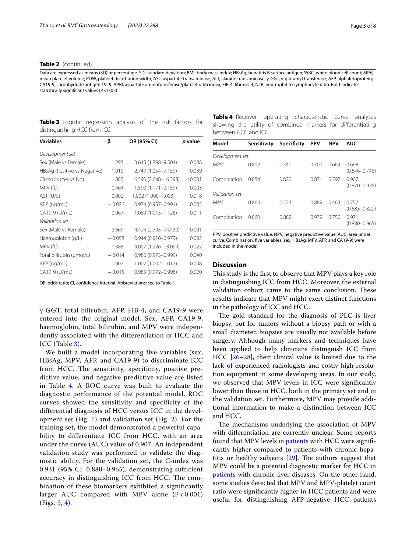## **Table 2** (continued)

Data are expressed as means (SD) or percentage. SD, standard deviation; BMI, body mass index; HBsAg, hepatitis B surface antigen; WBC, white blood cell count; MPV, mean platelet volume; PDW, platelet distribution width; AST, aspartate transaminase; ALT, alanine transaminase; γ-GGT, γ-glutamyl transferase; AFP, alphafetoprotein; CA19-9, carbohydrate antigen 19–9; APRI, aspartate aminotransferase/platelet ratio index; FIB-4, fbrosis-4; NLR, neutrophil-to-lymphocyte ratio. Bold indicates statistically significant values (P < 0.05)

<span id="page-4-0"></span>**Table 3** Logistic regression analysis of the risk factors for distinguishing HCC from ICC

| <b>Variables</b>             | β        | OR (95% CI)            | <i>p</i> value |  |
|------------------------------|----------|------------------------|----------------|--|
| Development set              |          |                        |                |  |
| Sex (Male vs Female)         | 1.293    | 3.645 (1.398-9.504)    | 0.008          |  |
| HBsAg (Positive vs Negative) | 1.010    | 2.747 (1.054-7.159)    | 0.039          |  |
| Cirrhosis (Yes vs No)        | 1.885    | 6.590 (2.648-16.398)   | < 0.001        |  |
| MPV (fL)                     | 0.464    | 1.590 (1.171-2.159)    | 0.003          |  |
| AST (U/L)                    | 0.002    | 1.002 (1.000-1.003)    | 0.018          |  |
| AFP (ng/mL)                  | $-0.026$ | $0.974(0.957 - 0.991)$ | 0.003          |  |
| CA19-9 (U/mL)                | 0.067    | 1.069 (1.015-1.126)    | 0.011          |  |
| Validation set               |          |                        |                |  |
| Sex (Male vs Female)         | 2.669    | 14.424 (2.795-74.439)  | 0.001          |  |
| Haemoglobin (g/L)            | $-0.058$ | $0.944(0.910 - 0.979)$ | 0.002          |  |
| MPV (fL)                     | 1.388    | 4.007 (1.226-13.094)   | 0.022          |  |
| Total bilirubin (µmol/L)     | $-0.014$ | 0.986 (0.973-0.999)    | 0.040          |  |
| AFP (ng/mL)                  | 0.007    | 1.007 (1.002-1.012)    | 0.008          |  |
| CA19-9 (U/mL)                | $-0.015$ | $0.985(0.972 - 0.998)$ | 0.020          |  |
|                              |          |                        |                |  |

OR, odds ratio; CI, confdence interval. Abbreviations: see to Table [1](#page-2-0)

γ-GGT, total bilirubin, AFP, FIB-4, and CA19-9 were entered into the original model. Sex, AFP, CA19-9, haemoglobin, total bilirubin, and MPV were independently associated with the differentiation of HCC and ICC (Table [3](#page-4-0)).

We built a model incorporating five variables (sex, HBsAg, MPV, AFP, and CA19-9) to discriminate ICC from HCC. The sensitivity, specificity, positive predictive value, and negative predictive value are listed in Table [4](#page-4-1). A ROC curve was built to evaluate the diagnostic performance of the potential model. ROC curves showed the sensitivity and specificity of the differential diagnosis of HCC versus ICC in the development set (Fig. [1\)](#page-5-0) and validation set (Fig. [2](#page-5-1)). For the training set, the model demonstrated a powerful capability to differentiate ICC from HCC, with an area under the curve (AUC) value of 0.907. An independent validation study was performed to validate the diagnostic ability. For the validation set, the C-index was 0.931 (95% CI: 0.880–0.965), demonstrating sufficient accuracy in distinguishing ICC from HCC. The combination of these biomarkers exhibited a significantly larger AUC compared with MPV alone  $(P < 0.001)$ (Figs. [3](#page-5-2), [4](#page-5-3)).

<span id="page-4-1"></span>**Table 4** Receiver operating characteristic curve analyses showing the utility of combined markers for diferentiating between HCC and ICC

| Model           | Sensitivity | Specificity | <b>PPV</b> | <b>NPV</b> | <b>AUC</b>                 |
|-----------------|-------------|-------------|------------|------------|----------------------------|
| Development set |             |             |            |            |                            |
| <b>MPV</b>      | 0.802       | 0.541       | 0.707      | 0.664      | 0.698<br>$(0.646 - 0.746)$ |
| Combination     | 0.854       | 0.820       | 0.871      | 0.797      | 0.907<br>$(0.870 - 0.935)$ |
| Validation set  |             |             |            |            |                            |
| <b>MPV</b>      | 0.863       | 0.523       | 0.889      | 0.463      | 0.757<br>$(0.683 - 0.822)$ |
| Combination     | 0.860       | 0.882       | 0.939      | 0.750      | 0.931<br>$(0.880 - 0.965)$ |

PPV, positive predictive value; NPV, negative predictive value; AUC, area under curve; Combination, fve variables (sex, HBsAg, MPV, AFP, and CA19-9) were included in the model

## **Discussion**

This study is the first to observe that MPV plays a key role in distinguishing ICC from HCC. Moreover, the external validation cohort came to the same conclusion. These results indicate that MPV might exert distinct functions in the pathology of ICC and HCC.

The gold standard for the diagnosis of PLC is liver biopsy, but for tumors without a biopsy path or with a small diameter, biopsies are usually not available before surgery. Although many markers and techniques have been applied to help clinicians distinguish ICC from HCC [\[26–](#page-7-11)[28\]](#page-7-12), their clinical value is limited due to the lack of experienced radiologists and costly high-resolution equipment in some developing areas. In our study, we observed that MPV levels in ICC were signifcantly lower than those in HCC, both in the primary set and in the validation set. Furthermore, MPV may provide additional information to make a distinction between ICC and HCC.

The mechanisms underlying the association of MPV with diferentiation are currently unclear. Some reports found that MPV levels in [patients](#page-1-0) with HCC were significantly higher compared to patients with chronic hepatitis or healthy subjects  $[29]$ . The authors suggest that MPV could be a potential diagnostic marker for HCC in [patients](#page-1-0) with chronic liver diseases. On the other hand, some studies detected that MPV and MPV-platelet count ratio were signifcantly higher in HCC patients and were useful for distinguishing AFP-negative HCC patients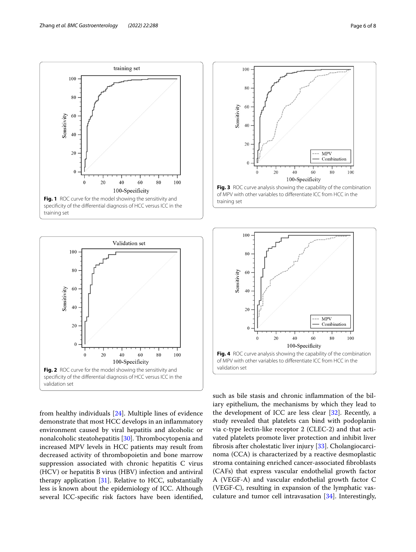

<span id="page-5-0"></span>

<span id="page-5-1"></span>from healthy individuals [\[24](#page-7-9)]. Multiple lines of evidence demonstrate that most HCC develops in an infammatory environment caused by viral hepatitis and alcoholic or nonalcoholic steatohepatitis [[30\]](#page-7-14). Thrombocytopenia and increased MPV levels in HCC patients may result from decreased activity of thrombopoietin and bone marrow suppression associated with chronic hepatitis C virus (HCV) or hepatitis B virus (HBV) infection and antiviral therapy application  $[31]$ . Relative to HCC, substantially less is known about the epidemiology of ICC. Although several ICC-specifc risk factors have been identifed,



<span id="page-5-2"></span>

<span id="page-5-3"></span>such as bile stasis and chronic infammation of the biliary epithelium, the mechanisms by which they lead to the development of ICC are less clear [\[32\]](#page-7-16). Recently, a study revealed that platelets can bind with podoplanin via c-type lectin-like receptor 2 (CLEC-2) and that activated platelets promote liver protection and inhibit liver fbrosis after cholestatic liver injury [[33\]](#page-7-17). Cholangiocarcinoma (CCA) is characterized by a reactive desmoplastic stroma containing enriched cancer-associated fbroblasts (CAFs) that express vascular endothelial growth factor A (VEGF-A) and vascular endothelial growth factor C (VEGF-C), resulting in expansion of the lymphatic vasculature and tumor cell intravasation [[34](#page-7-18)]. Interestingly,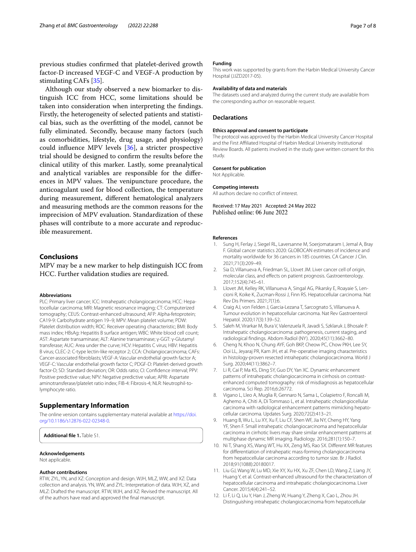previous studies confrmed that platelet-derived growth factor-D increased VEGF-C and VEGF-A production by stimulating CAFs [\[35](#page-7-19)].

Although our study observed a new biomarker to distinguish ICC from HCC, some limitations should be taken into consideration when interpreting the fndings. Firstly, the heterogeneity of selected patients and statistical bias, such as the overftting of the model, cannot be fully eliminated. Secondly, because many factors (such as comorbidities, lifestyle, drug usage, and physiology) could infuence MPV levels [\[36](#page-7-20)], a stricter prospective trial should be designed to confrm the results before the clinical utility of this marker. Lastly, some preanalytical and analytical variables are responsible for the diferences in MPV values. The venipuncture procedure, the anticoagulant used for blood collection, the temperature during measurement, diferent hematological analyzers and measuring methods are the common reasons for the imprecision of MPV evaluation. Standardization of these phases will contribute to a more accurate and reproducible measurement.

# **Conclusions**

MPV may be a new marker to help distinguish ICC from HCC. Further validation studies are required.

#### **Abbreviations**

PLC: Primary liver cancer; ICC: Intrahepatic cholangiocarcinoma; HCC: Hepatocellular carcinoma; MRI: Magnetic resonance imaging; CT: Computerized tomography; CEUS: Contrast-enhanced ultrasound; AFP: Alpha-fetoprotein; CA19-9: Carbohydrate antigen 19–9; MPV: Mean platelet volume; PDW: Platelet distribution width; ROC: Receiver operating characteristic; BMI: Body mass index; HBsAg: Hepatitis B surface antigen; WBC: White blood cell count; AST: Aspartate transaminase; ALT: Alanine transaminase; γ-GGT: γ-Glutamyl transferase; AUC: Area under the curve; HCV: Hepatitis C virus; HBV: Hepatitis B virus; CLEC-2: C-type lectin-like receptor 2; CCA: Cholangiocarcinoma; CAFs: Cancer-associated fbroblasts; VEGF-A: Vascular endothelial growth factor A; VEGF-C: Vascular endothelial growth factor C; PDGF-D: Platelet-derived growth factor-D; SD: Standard deviation; OR: Odds ratio; CI: Confdence interval; PPV: Positive predictive value; NPV: Negative predictive value; APRI: Aspartate aminotransferase/platelet ratio index; FIB-4: Fibrosis-4; NLR: Neutrophil-tolymphocyte ratio.

# **Supplementary Information**

The online version contains supplementary material available at [https://doi.](https://doi.org/10.1186/s12876-022-02348-0) [org/10.1186/s12876-022-02348-0](https://doi.org/10.1186/s12876-022-02348-0).

<span id="page-6-12"></span>**Additional fle 1.** Table S1.

#### **Acknowledgements**

Not applicable.

#### **Author contributions**

RTW, ZYL, YN, and XZ: Conception and design. WJH, MLZ, WW, and XZ: Data collection and analysis. YN, WW, and ZYL: Interpretation of data. WJH, XZ, and MLZ: Drafted the manuscript. RTW, WJH, and XZ: Revised the manuscript. All of the authors have read and approved the fnal manuscript.

## **Funding**

This work was supported by grants from the Harbin Medical University Cancer Hospital (JJZD2017-05).

#### **Availability of data and materials**

The datasets used and analyzed during the current study are available from the corresponding author on reasonable request.

## **Declarations**

#### **Ethics approval and consent to participate**

The protocol was approved by the Harbin Medical University Cancer Hospital and the First Afliated Hospital of Harbin Medical University Institutional Review Boards. All patients involved in the study gave written consent for this study.

#### **Consent for publication**

Not Applicable.

#### **Competing interests**

All authors declare no confict of interest.

Received: 17 May 2021 Accepted: 24 May 2022 Published online: 06 June 2022

#### **References**

- <span id="page-6-0"></span>1. Sung H, Ferlay J, Siegel RL, Laversanne M, Soerjomataram I, Jemal A, Bray F. Global cancer statistics 2020: GLOBOCAN estimates of incidence and mortality worldwide for 36 cancers in 185 countries. CA Cancer J Clin. 2021;71(3):209–49.
- <span id="page-6-1"></span>2. Sia D, Villanueva A, Friedman SL, Llovet JM. Liver cancer cell of origin, molecular class, and efects on patient prognosis. Gastroenterology. 2017;152(4):745–61.
- <span id="page-6-2"></span>3. Llovet JM, Kelley RK, Villanueva A, Singal AG, Pikarsky E, Roayaie S, Lencioni R, Koike K, Zucman-Rossi J, Finn RS. Hepatocellular carcinoma. Nat Rev Dis Primers. 2021;7(1):6.
- <span id="page-6-3"></span>4. Craig AJ, von Felden J, Garcia-Lezana T, Sarcognato S, Villanueva A. Tumour evolution in hepatocellular carcinoma. Nat Rev Gastroenterol Hepatol. 2020;17(3):139–52.
- <span id="page-6-4"></span>5. Saleh M, Virarkar M, Bura V, Valenzuela R, Javadi S, Szklaruk J, Bhosale P. Intrahepatic cholangiocarcinoma: pathogenesis, current staging, and radiological fndings. Abdom Radiol (NY). 2020;45(11):3662–80.
- <span id="page-6-5"></span>6. Cheng N, Khoo N, Chung AYF, Goh BKP, Cheow PC, Chow PKH, Lee SY, Ooi LL, Jeyaraj PR, Kam JH, et al. Pre-operative imaging characteristics in histology-proven resected intrahepatic cholangiocarcinoma. World J Surg. 2020;44(11):3862–7.
- <span id="page-6-7"></span>7. Li R, Cai P, Ma KS, Ding SY, Guo DY, Yan XC. Dynamic enhancement patterns of intrahepatic cholangiocarcinoma in cirrhosis on contrastenhanced computed tomography: risk of misdiagnosis as hepatocellular carcinoma. Sci Rep. 2016;6:26772.
- <span id="page-6-6"></span>8. Vigano L, Lleo A, Muglia R, Gennaro N, Sama L, Colapietro F, Roncalli M, Aghemo A, Chiti A, Di Tommaso L, et al. Intrahepatic cholangiocellular carcinoma with radiological enhancement patterns mimicking hepatocellular carcinoma. Updates Surg. 2020;72(2):413–21.
- <span id="page-6-8"></span>9. Huang B, Wu L, Lu XY, Xu F, Liu CF, Shen WF, Jia NY, Cheng HY, Yang YF, Shen F. Small intrahepatic cholangiocarcinoma and hepatocellular carcinoma in cirrhotic livers may share similar enhancement patterns at multiphase dynamic MR imaging. Radiology. 2016;281(1):150–7.
- <span id="page-6-9"></span>10. Ni T, Shang XS, Wang WT, Hu XX, Zeng MS, Rao SX. Diferent MR features for diferentiation of intrahepatic mass-forming cholangiocarcinoma from hepatocellular carcinoma according to tumor size. Br J Radiol. 2018;91(1088):20180017.
- <span id="page-6-10"></span>11. Liu GJ, Wang W, Lu MD, Xie XY, Xu HX, Xu ZF, Chen LD, Wang Z, Liang JY, Huang Y, et al. Contrast-enhanced ultrasound for the characterization of hepatocellular carcinoma and intrahepatic cholangiocarcinoma. Liver Cancer. 2015;4(4):241–52.
- <span id="page-6-11"></span>12. Li F, Li Q, Liu Y, Han J, Zheng W, Huang Y, Zheng X, Cao L, Zhou JH. Distinguishing intrahepatic cholangiocarcinoma from hepatocellular